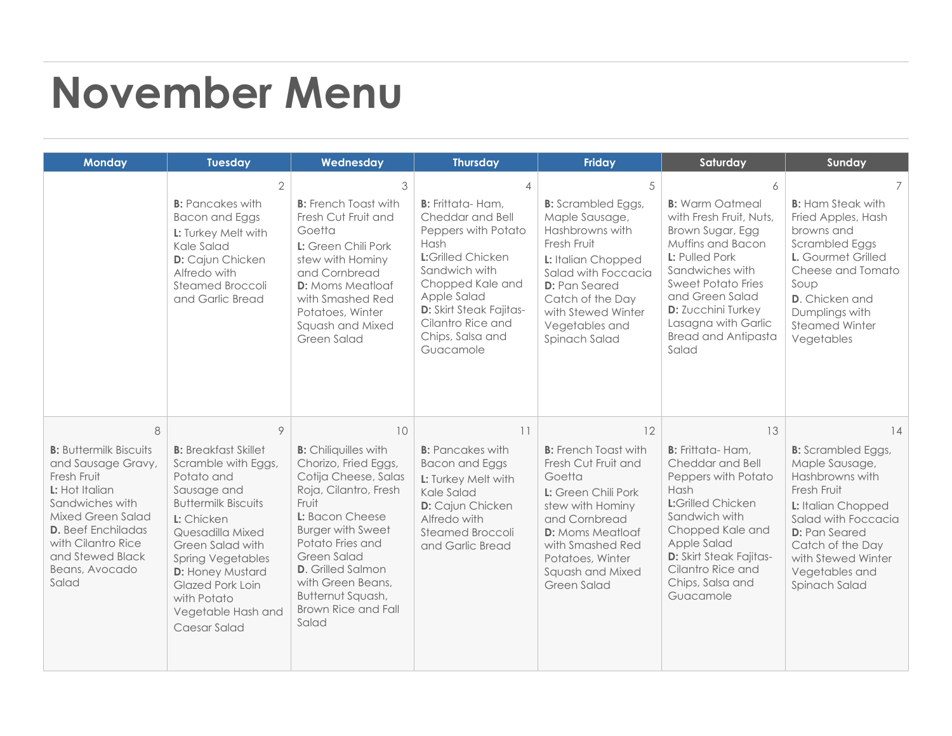## **November Menu**

| <b>Monday</b>                                                                                                                                                                                                                       | <b>Tuesday</b>                                                                                                                                                                                                                                                                                                  | Wednesday                                                                                                                                                                                                                                                                                                          | <b>Thursday</b>                                                                                                                                                                                                                                          | <b>Friday</b>                                                                                                                                                                                                                        | Saturday                                                                                                                                                                                                                                                                        | Sunday                                                                                                                                                                                                                                |
|-------------------------------------------------------------------------------------------------------------------------------------------------------------------------------------------------------------------------------------|-----------------------------------------------------------------------------------------------------------------------------------------------------------------------------------------------------------------------------------------------------------------------------------------------------------------|--------------------------------------------------------------------------------------------------------------------------------------------------------------------------------------------------------------------------------------------------------------------------------------------------------------------|----------------------------------------------------------------------------------------------------------------------------------------------------------------------------------------------------------------------------------------------------------|--------------------------------------------------------------------------------------------------------------------------------------------------------------------------------------------------------------------------------------|---------------------------------------------------------------------------------------------------------------------------------------------------------------------------------------------------------------------------------------------------------------------------------|---------------------------------------------------------------------------------------------------------------------------------------------------------------------------------------------------------------------------------------|
|                                                                                                                                                                                                                                     | $\overline{2}$<br><b>B:</b> Pancakes with<br><b>Bacon and Eggs</b><br>L: Turkey Melt with<br>Kale Salad<br>D: Cajun Chicken<br>Alfredo with<br>Steamed Broccoli<br>and Garlic Bread                                                                                                                             | 3<br><b>B:</b> French Toast with<br>Fresh Cut Fruit and<br>Goetta<br>L: Green Chili Pork<br>stew with Hominy<br>and Cornbread<br><b>D:</b> Moms Meatloaf<br>with Smashed Red<br>Potatoes, Winter<br>Squash and Mixed<br>Green Salad                                                                                | 4<br><b>B:</b> Frittata-Ham,<br>Cheddar and Bell<br>Peppers with Potato<br>Hash<br><b>L:</b> Grilled Chicken<br>Sandwich with<br>Chopped Kale and<br>Apple Salad<br><b>D:</b> Skirt Steak Fajitas-<br>Cilantro Rice and<br>Chips, Salsa and<br>Guacamole | 5<br><b>B:</b> Scrambled Eggs,<br>Maple Sausage,<br>Hashbrowns with<br>Fresh Fruit<br>L: Italian Chopped<br>Salad with Foccacia<br><b>D:</b> Pan Seared<br>Catch of the Day<br>with Stewed Winter<br>Vegetables and<br>Spinach Salad | 6<br><b>B:</b> Warm Oatmeal<br>with Fresh Fruit, Nuts,<br>Brown Sugar, Egg<br>Muffins and Bacon<br>L: Pulled Pork<br>Sandwiches with<br><b>Sweet Potato Fries</b><br>and Green Salad<br><b>D:</b> Zucchini Turkey<br>Lasagna with Garlic<br><b>Bread and Antipasta</b><br>Salad | <b>B:</b> Ham Steak with<br>Fried Apples, Hash<br>browns and<br>Scrambled Eggs<br>L. Gourmet Grilled<br>Cheese and Tomato<br>Soup<br><b>D.</b> Chicken and<br>Dumplings with<br><b>Steamed Winter</b><br>Vegetables                   |
| 8<br><b>B:</b> Buttermilk Biscuits<br>and Sausage Gravy,<br>Fresh Fruit<br>L: Hot Italian<br>Sandwiches with<br>Mixed Green Salad<br><b>D.</b> Beef Enchiladas<br>with Cilantro Rice<br>and Stewed Black<br>Beans, Avocado<br>Salad | 9<br><b>B:</b> Breakfast Skillet<br>Scramble with Eggs,<br>Potato and<br>Sausage and<br><b>Buttermilk Biscuits</b><br>L: Chicken<br>Quesadilla Mixed<br>Green Salad with<br><b>Spring Vegetables</b><br><b>D:</b> Honey Mustard<br><b>Glazed Pork Loin</b><br>with Potato<br>Vegetable Hash and<br>Caesar Salad | 10<br><b>B:</b> Chiliquilles with<br>Chorizo, Fried Eggs,<br>Cotija Cheese, Salas<br>Roja, Cilantro, Fresh<br>Fruit<br>L: Bacon Cheese<br><b>Burger with Sweet</b><br>Potato Fries and<br>Green Salad<br><b>D.</b> Grilled Salmon<br>with Green Beans,<br>Butternut Squash,<br><b>Brown Rice and Fall</b><br>Salad | 11<br><b>B:</b> Pancakes with<br><b>Bacon and Eggs</b><br>L: Turkey Melt with<br>Kale Salad<br>D: Cajun Chicken<br>Alfredo with<br>Steamed Broccoli<br>and Garlic Bread                                                                                  | 12<br><b>B:</b> French Toast with<br>Fresh Cut Fruit and<br>Goetta<br>L: Green Chili Pork<br>stew with Hominy<br>and Cornbread<br><b>D:</b> Moms Meatloaf<br>with Smashed Red<br>Potatoes, Winter<br>Squash and Mixed<br>Green Salad | 13<br><b>B:</b> Frittata-Ham.<br>Cheddar and Bell<br>Peppers with Potato<br>Hash<br><b>L:</b> Grilled Chicken<br>Sandwich with<br>Chopped Kale and<br>Apple Salad<br><b>D:</b> Skirt Steak Fajitas-<br>Cilantro Rice and<br>Chips, Salsa and<br>Guacamole                       | 14<br><b>B:</b> Scrambled Eggs,<br>Maple Sausage,<br>Hashbrowns with<br>Fresh Fruit<br>L: Italian Chopped<br>Salad with Foccacia<br><b>D:</b> Pan Seared<br>Catch of the Day<br>with Stewed Winter<br>Vegetables and<br>Spinach Salad |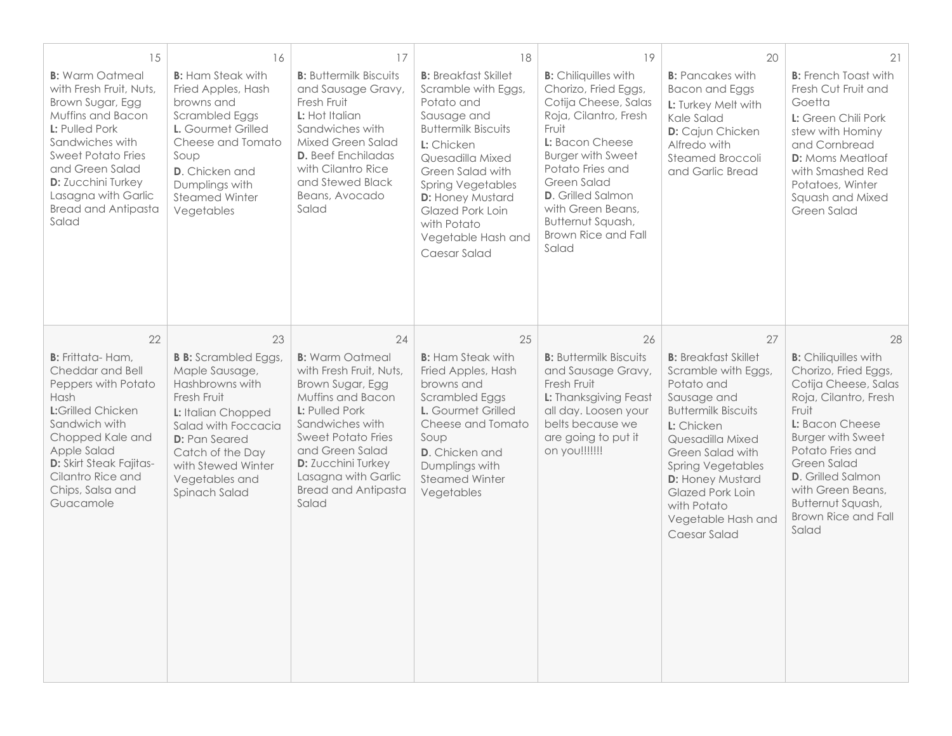| 15<br><b>B:</b> Warm Oatmeal<br>with Fresh Fruit, Nuts.<br>Brown Sugar, Egg<br>Muffins and Bacon<br>L: Pulled Pork<br>Sandwiches with<br><b>Sweet Potato Fries</b><br>and Green Salad<br><b>D:</b> Zucchini Turkey<br>Lasagna with Garlic<br><b>Bread and Antipasta</b><br>Salad | 16<br><b>B:</b> Ham Steak with<br>Fried Apples, Hash<br>browns and<br><b>Scrambled Eggs</b><br>L. Gourmet Grilled<br>Cheese and Tomato<br>Soup<br><b>D.</b> Chicken and<br>Dumplings with<br><b>Steamed Winter</b><br>Vegetables        | 17<br><b>B:</b> Buttermilk Biscuits<br>and Sausage Gravy,<br>Fresh Fruit<br>L: Hot Italian<br>Sandwiches with<br>Mixed Green Salad<br><b>D.</b> Beef Enchiladas<br>with Cilantro Rice<br>and Stewed Black<br>Beans, Avocado<br>Salad                                             | 18<br><b>B:</b> Breakfast Skillet<br>Scramble with Eggs,<br>Potato and<br>Sausage and<br><b>Buttermilk Biscuits</b><br>L: Chicken<br>Quesadilla Mixed<br>Green Salad with<br><b>Spring Vegetables</b><br><b>D:</b> Honey Mustard<br>Glazed Pork Loin<br>with Potato<br>Vegetable Hash and<br>Caesar Salad | 19<br><b>B:</b> Chiliquilles with<br>Chorizo, Fried Eggs,<br>Cotija Cheese, Salas<br>Roja, Cilantro, Fresh<br>Fruit<br>L: Bacon Cheese<br><b>Burger with Sweet</b><br>Potato Fries and<br>Green Salad<br><b>D.</b> Grilled Salmon<br>with Green Beans,<br>Butternut Squash,<br>Brown Rice and Fall<br>Salad | 20<br><b>B:</b> Pancakes with<br><b>Bacon and Eggs</b><br>L: Turkey Melt with<br>Kale Salad<br>D: Cajun Chicken<br>Alfredo with<br>Steamed Broccoli<br>and Garlic Bread                                                                                                                                          | 21<br><b>B:</b> French Toast with<br>Fresh Cut Fruit and<br>Goetta<br>L: Green Chili Pork<br>stew with Hominy<br>and Cornbread<br><b>D:</b> Moms Meatloaf<br>with Smashed Red<br>Potatoes, Winter<br>Squash and Mixed<br>Green Salad                                                                               |
|----------------------------------------------------------------------------------------------------------------------------------------------------------------------------------------------------------------------------------------------------------------------------------|-----------------------------------------------------------------------------------------------------------------------------------------------------------------------------------------------------------------------------------------|----------------------------------------------------------------------------------------------------------------------------------------------------------------------------------------------------------------------------------------------------------------------------------|-----------------------------------------------------------------------------------------------------------------------------------------------------------------------------------------------------------------------------------------------------------------------------------------------------------|-------------------------------------------------------------------------------------------------------------------------------------------------------------------------------------------------------------------------------------------------------------------------------------------------------------|------------------------------------------------------------------------------------------------------------------------------------------------------------------------------------------------------------------------------------------------------------------------------------------------------------------|--------------------------------------------------------------------------------------------------------------------------------------------------------------------------------------------------------------------------------------------------------------------------------------------------------------------|
| 22<br><b>B:</b> Frittata-Ham,<br>Cheddar and Bell<br>Peppers with Potato<br>Hash<br>L:Grilled Chicken<br>Sandwich with<br>Chopped Kale and<br>Apple Salad<br><b>D:</b> Skirt Steak Fajitas-<br>Cilantro Rice and<br>Chips, Salsa and<br>Guacamole                                | 23<br><b>B B:</b> Scrambled Eggs,<br>Maple Sausage,<br>Hashbrowns with<br>Fresh Fruit<br>L: Italian Chopped<br>Salad with Foccacia<br><b>D:</b> Pan Seared<br>Catch of the Day<br>with Stewed Winter<br>Vegetables and<br>Spinach Salad | 24<br><b>B:</b> Warm Oatmeal<br>with Fresh Fruit, Nuts,<br>Brown Sugar, Egg<br>Muffins and Bacon<br>L: Pulled Pork<br>Sandwiches with<br><b>Sweet Potato Fries</b><br>and Green Salad<br><b>D:</b> Zucchini Turkey<br>Lasagna with Garlic<br><b>Bread and Antipasta</b><br>Salad | 25<br><b>B:</b> Ham Steak with<br>Fried Apples, Hash<br>browns and<br><b>Scrambled Eggs</b><br>L. Gourmet Grilled<br>Cheese and Tomato<br>Soup<br>D. Chicken and<br>Dumplings with<br><b>Steamed Winter</b><br>Vegetables                                                                                 | 26<br><b>B:</b> Buttermilk Biscuits<br>and Sausage Gravy,<br>Fresh Fruit<br><b>L:</b> Thanksgiving Feast<br>all day. Loosen your<br>belts because we<br>are going to put it<br>on you!!!!!!!                                                                                                                | 27<br><b>B:</b> Breakfast Skillet<br>Scramble with Eggs,<br>Potato and<br>Sausage and<br><b>Buttermilk Biscuits</b><br>L: Chicken<br>Quesadilla Mixed<br>Green Salad with<br><b>Spring Vegetables</b><br><b>D:</b> Honey Mustard<br><b>Glazed Pork Loin</b><br>with Potato<br>Vegetable Hash and<br>Caesar Salad | 28<br><b>B:</b> Chiliquilles with<br>Chorizo, Fried Eggs,<br>Cotija Cheese, Salas<br>Roja, Cilantro, Fresh<br>Fruit<br>L: Bacon Cheese<br><b>Burger with Sweet</b><br>Potato Fries and<br>Green Salad<br><b>D.</b> Grilled Salmon<br>with Green Beans,<br>Butternut Squash,<br><b>Brown Rice and Fall</b><br>Salad |